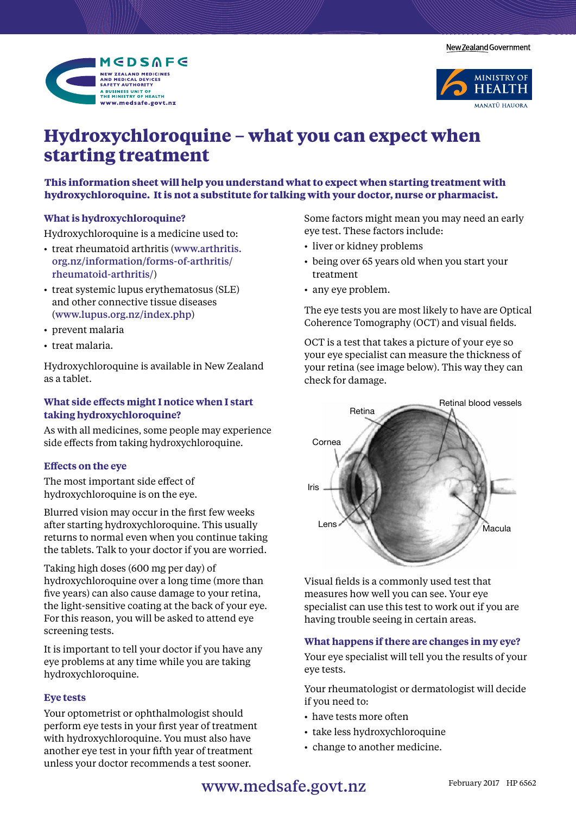New Zealand Government





# **Hydroxychloroquine – what you can expect when starting treatment**

**This information sheet will help you understand what to expect when starting treatment with hydroxychloroquine. It is not a substitute for talking with your doctor, nurse or pharmacist.** 

## **What is hydroxychloroquine?**

Hydroxychloroquine is a medicine used to:

- • treat rheumatoid arthritis (www.arthritis. org.nz/information/forms-of-arthritis/ rheumatoid-arthritis/)
- treat systemic lupus erythematosus (SLE) and other connective tissue diseases (www.lupus.org.nz/index.php)
- prevent malaria
- treat malaria.

Hydroxychloroquine is available in New Zealand as a tablet.

## **What side effects might I notice when I start taking hydroxychloroquine?**

As with all medicines, some people may experience side effects from taking hydroxychloroquine.

## **Effects on the eye**

The most important side effect of hydroxychloroquine is on the eye.

Blurred vision may occur in the first few weeks after starting hydroxychloroquine. This usually returns to normal even when you continue taking the tablets. Talk to your doctor if you are worried.

Taking high doses (600 mg per day) of hydroxychloroquine over a long time (more than five years) can also cause damage to your retina, the light-sensitive coating at the back of your eye. For this reason, you will be asked to attend eye screening tests.

It is important to tell your doctor if you have any eye problems at any time while you are taking hydroxychloroquine.

#### **Eye tests**

Your optometrist or ophthalmologist should perform eye tests in your first year of treatment with hydroxychloroquine. You must also have another eye test in your fifth year of treatment unless your doctor recommends a test sooner.

Some factors might mean you may need an early eye test. These factors include:

- liver or kidney problems
- being over 65 years old when you start your treatment
- any eye problem.

The eye tests you are most likely to have are Optical Coherence Tomography (OCT) and visual fields.

OCT is a test that takes a picture of your eye so your eye specialist can measure the thickness of your retina (see image below). This way they can check for damage.



Visual fields is a commonly used test that measures how well you can see. Your eye specialist can use this test to work out if you are having trouble seeing in certain areas.

#### **What happens if there are changes in my eye?**

Your eye specialist will tell you the results of your eye tests.

Your rheumatologist or dermatologist will decide if you need to:

- have tests more often
- take less hydroxychloroquine
- change to another medicine.